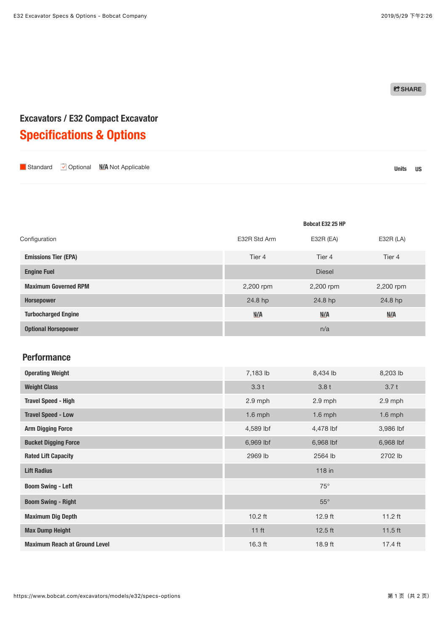**C** SHARE

# **Excavators / E32 Compact Excavator Specifications & Options**

| Units US | Standard Optional N/A Not Applicable |  |  |
|----------|--------------------------------------|--|--|
|----------|--------------------------------------|--|--|

|                             |              | Bobcat E32 25 HP |             |
|-----------------------------|--------------|------------------|-------------|
| Configuration               | E32R Std Arm | $E32R$ (EA)      | $E32R$ (LA) |
| <b>Emissions Tier (EPA)</b> | Tier 4       | Tier 4           | Tier 4      |
| <b>Engine Fuel</b>          |              | <b>Diesel</b>    |             |
| <b>Maximum Governed RPM</b> | 2,200 rpm    | 2,200 rpm        | 2,200 rpm   |
| <b>Horsepower</b>           | 24.8 hp      | 24.8 hp          | 24.8 hp     |
| <b>Turbocharged Engine</b>  | N/A          | N/A              | N/A         |
| <b>Optional Horsepower</b>  |              | n/a              |             |

#### **[Performance](https://www.bobcat.com/excavators/models/e32/specs-options)**

| <b>Operating Weight</b>              | 7,183 lb         | 8,434 lb     | 8,203 lb  |
|--------------------------------------|------------------|--------------|-----------|
| <b>Weight Class</b>                  | 3.3t             | 3.8t         | 3.7t      |
| <b>Travel Speed - High</b>           | 2.9 mph          | 2.9 mph      | $2.9$ mph |
| <b>Travel Speed - Low</b>            | $1.6$ mph        | $1.6$ mph    | $1.6$ mph |
| <b>Arm Digging Force</b>             | 4,589 lbf        | 4,478 lbf    | 3,986 lbf |
| <b>Bucket Digging Force</b>          | 6,969 lbf        | 6,968 lbf    | 6,968 lbf |
| <b>Rated Lift Capacity</b>           | 2969 lb          | 2564 lb      | 2702 lb   |
| <b>Lift Radius</b>                   |                  | 118 in       |           |
| <b>Boom Swing - Left</b>             |                  | $75^\circ$   |           |
| <b>Boom Swing - Right</b>            |                  | $55^{\circ}$ |           |
| <b>Maximum Dig Depth</b>             | $10.2$ ft        | $12.9$ ft    | $11.2$ ft |
| <b>Max Dump Height</b>               | 11 <sub>ft</sub> | $12.5$ ft    | $11.5$ ft |
| <b>Maximum Reach at Ground Level</b> | $16.3$ ft        | 18.9 ft      | 17.4 ft   |